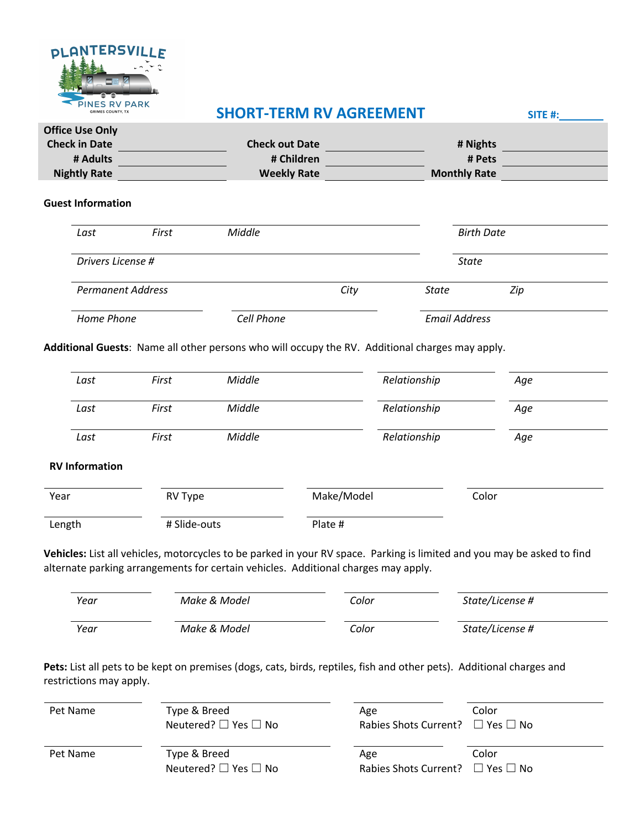

## **SHORT-TERM RV AGREEMENT SITE #:**

| <b>Office Use Only</b> |                       |                     |  |
|------------------------|-----------------------|---------------------|--|
| <b>Check in Date</b>   | <b>Check out Date</b> | # Nights            |  |
| # Adults               | # Children            | # Pets              |  |
| <b>Nightly Rate</b>    | <b>Weekly Rate</b>    | <b>Monthly Rate</b> |  |

#### **Guest Information**

| Last                     | First                    | Middle |                      |              | <b>Birth Date</b> |  |
|--------------------------|--------------------------|--------|----------------------|--------------|-------------------|--|
| Drivers License #        |                          |        |                      | <b>State</b> |                   |  |
|                          | <b>Permanent Address</b> |        | City                 | State        | Zip               |  |
| Home Phone<br>Cell Phone |                          |        | <b>Email Address</b> |              |                   |  |

**Additional Guests**: Name all other persons who will occupy the RV. Additional charges may apply.

|        | Last                  | First        | Middle |            | Relationship | Age   |  |
|--------|-----------------------|--------------|--------|------------|--------------|-------|--|
|        | Last                  | First        | Middle |            | Relationship | Age   |  |
|        | Last                  | First        | Middle |            | Relationship | Age   |  |
|        | <b>RV Information</b> |              |        |            |              |       |  |
| Year   |                       | RV Type      |        | Make/Model |              | Color |  |
| Length |                       | # Slide-outs |        | Plate #    |              |       |  |

**Vehicles:** List all vehicles, motorcycles to be parked in your RV space. Parking is limited and you may be asked to find alternate parking arrangements for certain vehicles. Additional charges may apply.

| Year | Make & Model | Color | State/License # |
|------|--------------|-------|-----------------|
| Year | Make & Model | Color | State/License # |

Pets: List all pets to be kept on premises (dogs, cats, birds, reptiles, fish and other pets). Additional charges and restrictions may apply.

| Pet Name | Type & Breed<br>Neutered? $\Box$ Yes $\Box$ No | Age<br>Rabies Shots Current? $\Box$ Yes $\Box$ No | Color |
|----------|------------------------------------------------|---------------------------------------------------|-------|
| Pet Name | Type & Breed<br>Neutered? $\Box$ Yes $\Box$ No | Age<br>Rabies Shots Current? $\Box$ Yes $\Box$ No | Color |